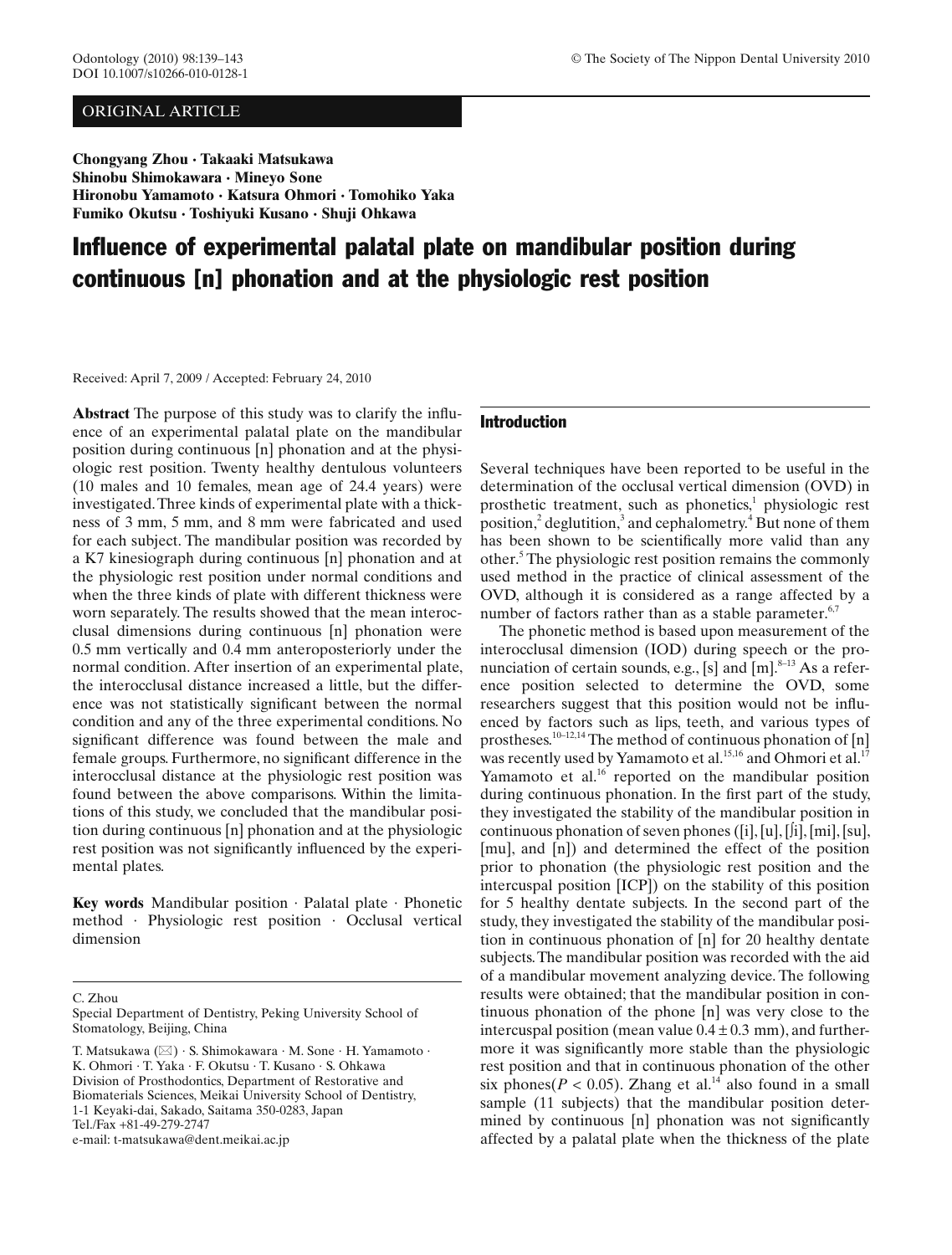# ORIGINAL ARTICLE

**Chongyang Zhou · Takaaki Matsukawa Shinobu Shimokawara · Mineyo Sone Hironobu Yamamoto · Katsura Ohmori · Tomohiko Yaka Fumiko Okutsu · Toshiyuki Kusano · Shuji Ohkawa**

# Influence of experimental palatal plate on mandibular position during continuous [n] phonation and at the physiologic rest position

Received: April 7, 2009 / Accepted: February 24, 2010

**Abstract** The purpose of this study was to clarify the influence of an experimental palatal plate on the mandibular position during continuous [n] phonation and at the physiologic rest position. Twenty healthy dentulous volunteers (10 males and 10 females, mean age of 24.4 years) were investigated. Three kinds of experimental plate with a thickness of 3 mm, 5 mm, and 8 mm were fabricated and used for each subject. The mandibular position was recorded by a K7 kinesiograph during continuous [n] phonation and at the physiologic rest position under normal conditions and when the three kinds of plate with different thickness were worn separately. The results showed that the mean interocclusal dimensions during continuous [n] phonation were 0.5 mm vertically and 0.4 mm anteroposteriorly under the normal condition. After insertion of an experimental plate, the interocclusal distance increased a little, but the difference was not statistically significant between the normal condition and any of the three experimental conditions. No significant difference was found between the male and female groups. Furthermore, no significant difference in the interocclusal distance at the physiologic rest position was found between the above comparisons. Within the limitations of this study, we concluded that the mandibular position during continuous [n] phonation and at the physiologic rest position was not significantly influenced by the experimental plates.

**Key words** Mandibular position · Palatal plate · Phonetic method · Physiologic rest position · Occlusal vertical dimension

C. Zhou

e-mail: t-matsukawa@dent.meikai.ac.jp

# Introduction

Several techniques have been reported to be useful in the determination of the occlusal vertical dimension (OVD) in prosthetic treatment, such as phonetics, $1$  physiologic rest position,<sup>2</sup> deglutition,<sup>[3](#page-3-0)</sup> and cephalometry.<sup>[4](#page-3-0)</sup> But none of them has been shown to be scientifically more valid than any other.<sup>[5](#page-3-0)</sup> The physiologic rest position remains the commonly used method in the practice of clinical assessment of the OVD, although it is considered as a range affected by a number of factors rather than as a stable parameter.<sup>6,7</sup>

The phonetic method is based upon measurement of the interocclusal dimension (IOD) during speech or the pronunciation of certain sounds, e.g., [s] and  $[m]$ .<sup>8-13</sup> As a reference position selected to determine the OVD, some researchers suggest that this position would not be influenced by factors such as lips, teeth, and various types of prostheses.<sup>10–12,14</sup> The method of continuous phonation of  $[n]$ was recently used by Yamamoto et al.<sup>15,16</sup> and Ohmori et al.<sup>17</sup> Yamamoto et al.<sup>[16](#page-3-0)</sup> reported on the mandibular position during continuous phonation. In the first part of the study, they investigated the stability of the mandibular position in continuous phonation of seven phones ([i], [u], [∫i], [mi], [su], [mu], and [n]) and determined the effect of the position prior to phonation (the physiologic rest position and the intercuspal position [ICP]) on the stability of this position for 5 healthy dentate subjects. In the second part of the study, they investigated the stability of the mandibular position in continuous phonation of [n] for 20 healthy dentate subjects. The mandibular position was recorded with the aid of a mandibular movement analyzing device. The following results were obtained; that the mandibular position in continuous phonation of the phone [n] was very close to the intercuspal position (mean value  $0.4 \pm 0.3$  mm), and furthermore it was significantly more stable than the physiologic rest position and that in continuous phonation of the other six phones( $P < 0.05$ ). Zhang et al.<sup>14</sup> also found in a small sample (11 subjects) that the mandibular position determined by continuous [n] phonation was not significantly affected by a palatal plate when the thickness of the plate

Special Department of Dentistry, Peking University School of Stomatology, Beijing, China

T. Matsukawa ( $\boxtimes$ ) · S. Shimokawara · M. Sone · H. Yamamoto · K. Ohmori · T. Yaka · F. Okutsu · T. Kusano · S. Ohkawa Division of Prosthodontics, Department of Restorative and Biomaterials Sciences, Meikai University School of Dentistry, 1-1 Keyaki-dai, Sakado, Saitama 350-0283, Japan Tel./Fax +81-49-279-2747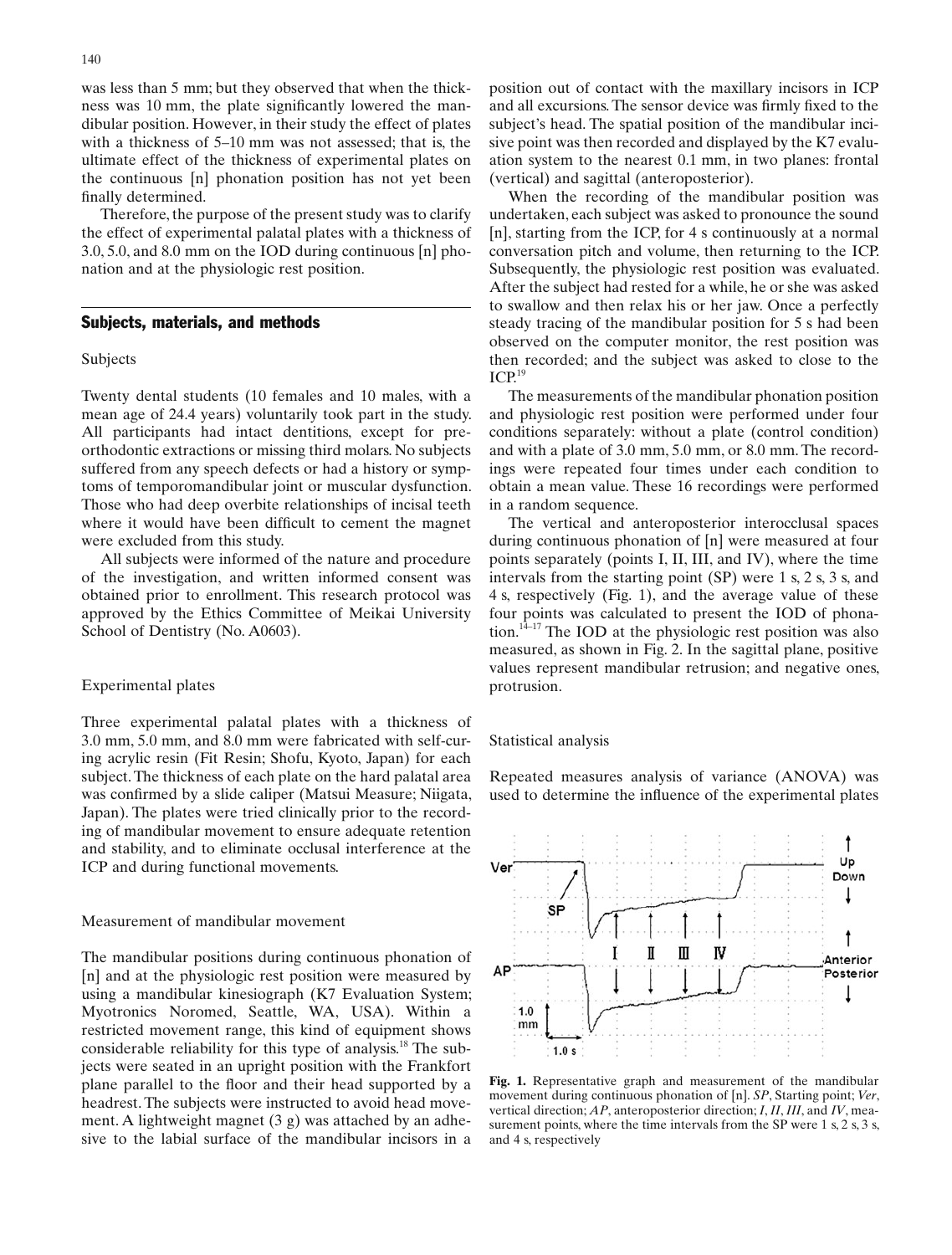was less than 5 mm; but they observed that when the thickness was 10 mm, the plate significantly lowered the mandibular position. However, in their study the effect of plates with a thickness of 5–10 mm was not assessed; that is, the ultimate effect of the thickness of experimental plates on the continuous [n] phonation position has not yet been finally determined.

Therefore, the purpose of the present study was to clarify the effect of experimental palatal plates with a thickness of 3.0, 5.0, and 8.0 mm on the IOD during continuous [n] phonation and at the physiologic rest position.

#### Subjects, materials, and methods

# Subjects

Twenty dental students (10 females and 10 males, with a mean age of 24.4 years) voluntarily took part in the study. All participants had intact dentitions, except for preorthodontic extractions or missing third molars. No subjects suffered from any speech defects or had a history or symptoms of temporomandibular joint or muscular dysfunction. Those who had deep overbite relationships of incisal teeth where it would have been difficult to cement the magnet were excluded from this study.

All subjects were informed of the nature and procedure of the investigation, and written informed consent was obtained prior to enrollment. This research protocol was approved by the Ethics Committee of Meikai University School of Dentistry (No. A0603).

# Experimental plates

Three experimental palatal plates with a thickness of 3.0 mm, 5.0 mm, and 8.0 mm were fabricated with self-curing acrylic resin (Fit Resin; Shofu, Kyoto, Japan) for each subject. The thickness of each plate on the hard palatal area was confirmed by a slide caliper (Matsui Measure; Niigata, Japan). The plates were tried clinically prior to the recording of mandibular movement to ensure adequate retention and stability, and to eliminate occlusal interference at the ICP and during functional movements.

## Measurement of mandibular movement

The mandibular positions during continuous phonation of [n] and at the physiologic rest position were measured by using a mandibular kinesiograph (K7 Evaluation System; Myotronics Noromed, Seattle, WA, USA). Within a restricted movement range, this kind of equipment shows considerable reliability for this type of analysis.<sup>18</sup> The subjects were seated in an upright position with the Frankfort plane parallel to the floor and their head supported by a headrest. The subjects were instructed to avoid head movement. A lightweight magnet (3 g) was attached by an adhesive to the labial surface of the mandibular incisors in a position out of contact with the maxillary incisors in ICP and all excursions. The sensor device was firmly fixed to the subject's head. The spatial position of the mandibular incisive point was then recorded and displayed by the K7 evaluation system to the nearest 0.1 mm, in two planes: frontal (vertical) and sagittal (anteroposterior).

When the recording of the mandibular position was undertaken, each subject was asked to pronounce the sound [n], starting from the ICP, for 4 s continuously at a normal conversation pitch and volume, then returning to the ICP. Subsequently, the physiologic rest position was evaluated. After the subject had rested for a while, he or she was asked to swallow and then relax his or her jaw. Once a perfectly steady tracing of the mandibular position for 5 s had been observed on the computer monitor, the rest position was then recorded; and the subject was asked to close to the  $ICP<sup>19</sup>$  $ICP<sup>19</sup>$  $ICP<sup>19</sup>$ 

The measurements of the mandibular phonation position and physiologic rest position were performed under four conditions separately: without a plate (control condition) and with a plate of 3.0 mm, 5.0 mm, or 8.0 mm. The recordings were repeated four times under each condition to obtain a mean value. These 16 recordings were performed in a random sequence.

The vertical and anteroposterior interocclusal spaces during continuous phonation of [n] were measured at four points separately (points I, II, III, and IV), where the time intervals from the starting point (SP) were 1 s, 2 s, 3 s, and 4 s, respectively (Fig. 1), and the average value of these four points was calculated to present the IOD of phona-tion.<sup>[14–](#page-3-0)17</sup> The IOD at the physiologic rest position was also measured, as shown in [Fig. 2](#page-2-0). In the sagittal plane, positive values represent mandibular retrusion; and negative ones, protrusion.

#### Statistical analysis

Repeated measures analysis of variance (ANOVA) was used to determine the influence of the experimental plates



**Fig. 1.** Representative graph and measurement of the mandibular movement during continuous phonation of [n]. *SP*, Starting point; *Ver*, vertical direction; *AP*, anteroposterior direction; *I*, *II*, *III*, and *IV*, measurement points, where the time intervals from the SP were 1 s, 2 s, 3 s, and 4 s, respectively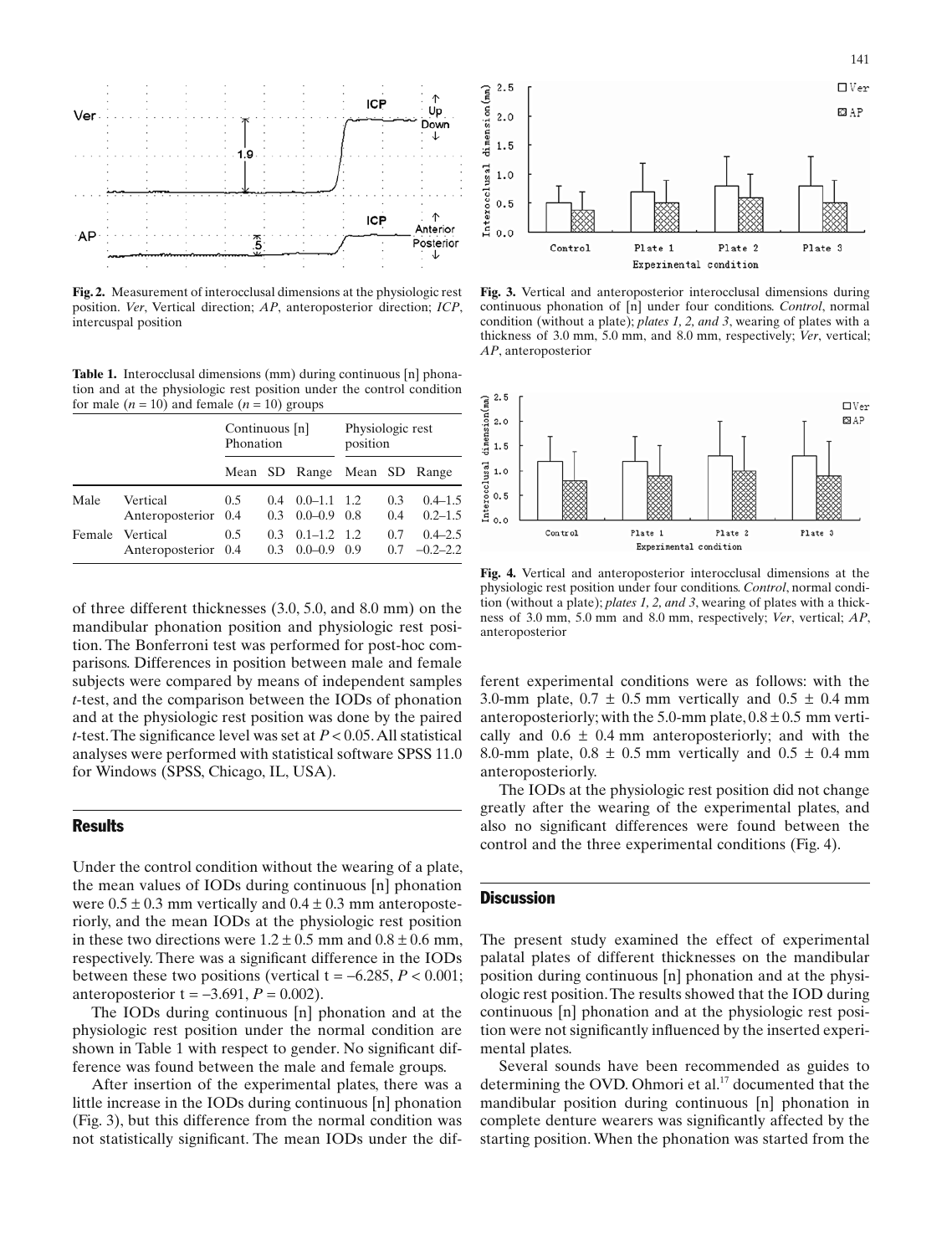<span id="page-2-0"></span>

**Fig. 2.** Measurement of interocclusal dimensions at the physiologic rest position. *Ver*, Vertical direction; *AP*, anteroposterior direction; *ICP*, intercuspal position

**Table 1.** Interocclusal dimensions (mm) during continuous [n] phonation and at the physiologic rest position under the control condition for male  $(n = 10)$  and female  $(n = 10)$  groups

|      |                                        | Continuous [n]<br>Phonation |                         |                                    | Physiologic rest<br>position |            |                             |
|------|----------------------------------------|-----------------------------|-------------------------|------------------------------------|------------------------------|------------|-----------------------------|
|      |                                        |                             |                         | Mean SD Range Mean SD Range        |                              |            |                             |
| Male | Vertical<br>Anteroposterior 0.4        | 0.5                         | 0.4<br>0.3 <sup>2</sup> | $0.0 - 1.1$ 1.2<br>$0.0 - 0.9$ 0.8 |                              | 0.3<br>0.4 | $0.4 - 1.5$<br>$0.2 - 1.5$  |
|      | Female Vertical<br>Anteroposterior 0.4 | 0.5                         | 0.3<br>0.3              | $0.1 - 1.2$ 1.2<br>$0.0 - 0.9$     | 0.9                          | 0.7<br>0.7 | $0.4 - 2.5$<br>$-0.2 - 2.2$ |

of three different thicknesses (3.0, 5.0, and 8.0 mm) on the mandibular phonation position and physiologic rest position. The Bonferroni test was performed for post-hoc comparisons. Differences in position between male and female subjects were compared by means of independent samples *t*-test, and the comparison between the IODs of phonation and at the physiologic rest position was done by the paired *t*-test. The significance level was set at  $P < 0.05$ . All statistical analyses were performed with statistical software SPSS 11.0 for Windows (SPSS, Chicago, IL, USA).

# **Results**

Under the control condition without the wearing of a plate, the mean values of IODs during continuous [n] phonation were  $0.5 \pm 0.3$  mm vertically and  $0.4 \pm 0.3$  mm anteroposteriorly, and the mean IODs at the physiologic rest position in these two directions were  $1.2 \pm 0.5$  mm and  $0.8 \pm 0.6$  mm, respectively. There was a significant difference in the IODs between these two positions (vertical t =  $-6.285$ ,  $P < 0.001$ ; anteroposterior  $t = -3.691, P = 0.002$ .

The IODs during continuous [n] phonation and at the physiologic rest position under the normal condition are shown in Table 1 with respect to gender. No significant difference was found between the male and female groups.

After insertion of the experimental plates, there was a little increase in the IODs during continuous [n] phonation (Fig. 3), but this difference from the normal condition was not statistically significant. The mean IODs under the dif-



**Fig. 3.** Vertical and anteroposterior interocclusal dimensions during continuous phonation of [n] under four conditions. *Control*, normal condition (without a plate); *plates 1, 2, and 3*, wearing of plates with a thickness of 3.0 mm, 5.0 mm, and 8.0 mm, respectively; *Ver*, vertical; *AP*, anteroposterior



**Fig. 4.** Vertical and anteroposterior interocclusal dimensions at the physiologic rest position under four conditions. *Control*, normal condition (without a plate); *plates 1, 2, and 3*, wearing of plates with a thickness of 3.0 mm, 5.0 mm and 8.0 mm, respectively; *Ver*, vertical; *AP*, anteroposterior

ferent experimental conditions were as follows: with the 3.0-mm plate,  $0.7 \pm 0.5$  mm vertically and  $0.5 \pm 0.4$  mm anteroposteriorly; with the 5.0-mm plate,  $0.8 \pm 0.5$  mm vertically and  $0.6 \pm 0.4$  mm anteroposteriorly; and with the 8.0-mm plate,  $0.8 \pm 0.5$  mm vertically and  $0.5 \pm 0.4$  mm anteroposteriorly.

The IODs at the physiologic rest position did not change greatly after the wearing of the experimental plates, and also no significant differences were found between the control and the three experimental conditions (Fig. 4).

# **Discussion**

The present study examined the effect of experimental palatal plates of different thicknesses on the mandibular position during continuous [n] phonation and at the physiologic rest position. The results showed that the IOD during continuous [n] phonation and at the physiologic rest position were not significantly influenced by the inserted experimental plates.

Several sounds have been recommended as guides to determining the OVD. Ohmori et al. $17$  documented that the mandibular position during continuous [n] phonation in complete denture wearers was significantly affected by the starting position. When the phonation was started from the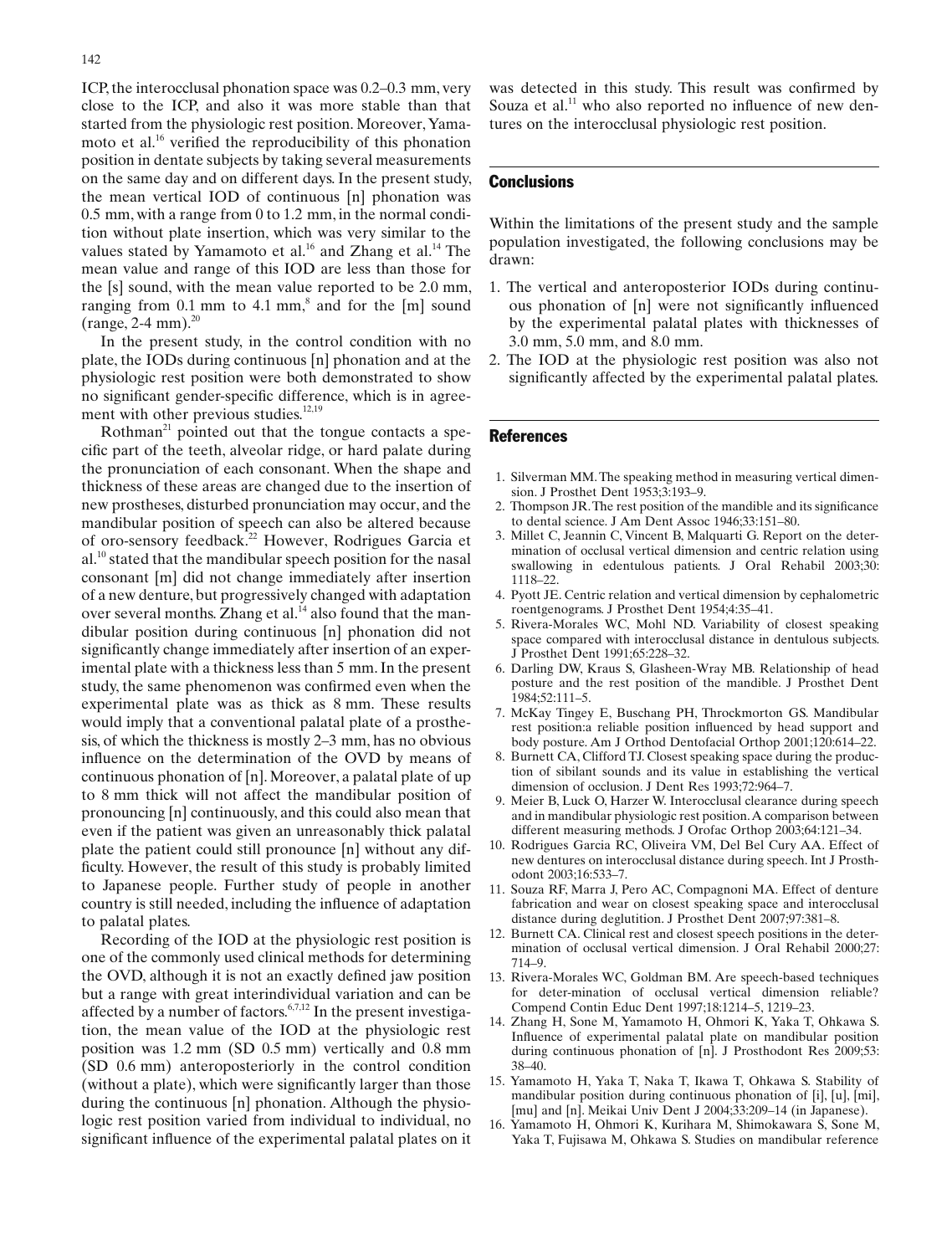<span id="page-3-0"></span>ICP, the interocclusal phonation space was 0.2–0.3 mm, very close to the ICP, and also it was more stable than that started from the physiologic rest position. Moreover, Yamamoto et al. $^{16}$  verified the reproducibility of this phonation position in dentate subjects by taking several measurements on the same day and on different days. In the present study, the mean vertical IOD of continuous [n] phonation was 0.5 mm, with a range from 0 to 1.2 mm, in the normal condition without plate insertion, which was very similar to the values stated by Yamamoto et al.<sup>16</sup> and Zhang et al.<sup>14</sup> The mean value and range of this IOD are less than those for the [s] sound, with the mean value reported to be 2.0 mm, ranging from  $0.1$  mm to  $4.1$  mm,<sup>8</sup> and for the [m] sound  $(range, 2-4 mm).^{20}$ 

In the present study, in the control condition with no plate, the IODs during continuous [n] phonation and at the physiologic rest position were both demonstrated to show no significant gender-specific difference, which is in agreement with other previous studies. $12,19$  $12,19$ 

Rothman<sup>21</sup> pointed out that the tongue contacts a specific part of the teeth, alveolar ridge, or hard palate during the pronunciation of each consonant. When the shape and thickness of these areas are changed due to the insertion of new prostheses, disturbed pronunciation may occur, and the mandibular position of speech can also be altered because of oro-sensory feedback.<sup>22</sup> However, Rodrigues Garcia et  $al.<sup>10</sup>$  stated that the mandibular speech position for the nasal consonant [m] did not change immediately after insertion of a new denture, but progressively changed with adaptation over several months. Zhang et al.<sup>14</sup> also found that the mandibular position during continuous [n] phonation did not significantly change immediately after insertion of an experimental plate with a thickness less than 5 mm. In the present study, the same phenomenon was confirmed even when the experimental plate was as thick as 8 mm. These results would imply that a conventional palatal plate of a prosthesis, of which the thickness is mostly 2–3 mm, has no obvious influence on the determination of the OVD by means of continuous phonation of [n]. Moreover, a palatal plate of up to 8 mm thick will not affect the mandibular position of pronouncing [n] continuously, and this could also mean that even if the patient was given an unreasonably thick palatal plate the patient could still pronounce [n] without any difficulty. However, the result of this study is probably limited to Japanese people. Further study of people in another country is still needed, including the influence of adaptation to palatal plates.

Recording of the IOD at the physiologic rest position is one of the commonly used clinical methods for determining the OVD, although it is not an exactly defined jaw position but a range with great interindividual variation and can be affected by a number of factors.<sup>6,7,12</sup> In the present investigation, the mean value of the IOD at the physiologic rest position was 1.2 mm (SD 0.5 mm) vertically and 0.8 mm (SD 0.6 mm) anteroposteriorly in the control condition (without a plate), which were significantly larger than those during the continuous [n] phonation. Although the physiologic rest position varied from individual to individual, no significant influence of the experimental palatal plates on it was detected in this study. This result was confirmed by Souza et al. $11$  who also reported no influence of new dentures on the interocclusal physiologic rest position.

## **Conclusions**

Within the limitations of the present study and the sample population investigated, the following conclusions may be drawn:

- 1. The vertical and anteroposterior IODs during continuous phonation of [n] were not significantly influenced by the experimental palatal plates with thicknesses of 3.0 mm, 5.0 mm, and 8.0 mm.
- 2. The IOD at the physiologic rest position was also not significantly affected by the experimental palatal plates.

#### References

- 1. Silverman MM. The speaking method in measuring vertical dimension. J Prosthet Dent 1953;3:193–9.
- 2. Thompson JR. The rest position of the mandible and its significance to dental science. J Am Dent Assoc 1946;33:151–80.
- 3. Millet C, Jeannin C, Vincent B, Malquarti G. Report on the determination of occlusal vertical dimension and centric relation using swallowing in edentulous patients. J Oral Rehabil 2003;30: 1118–22.
- 4. Pyott JE. Centric relation and vertical dimension by cephalometric roentgenograms. J Prosthet Dent 1954;4:35–41.
- 5. Rivera-Morales WC, Mohl ND. Variability of closest speaking space compared with interocclusal distance in dentulous subjects. J Prosthet Dent 1991;65:228–32.
- 6. Darling DW, Kraus S, Glasheen-Wray MB. Relationship of head posture and the rest position of the mandible. J Prosthet Dent 1984;52:111–5.
- 7. McKay Tingey E, Buschang PH, Throckmorton GS. Mandibular rest position:a reliable position influenced by head support and body posture. Am J Orthod Dentofacial Orthop 2001;120:614–22.
- 8. Burnett CA, Clifford TJ. Closest speaking space during the production of sibilant sounds and its value in establishing the vertical dimension of occlusion. J Dent Res 1993;72:964–7.
- 9. Meier B, Luck O, Harzer W. Interocclusal clearance during speech and in mandibular physiologic rest position. A comparison between different measuring methods. J Orofac Orthop 2003;64:121–34.
- 10. Rodrigues Garcia RC, Oliveira VM, Del Bel Cury AA. Effect of new dentures on interocclusal distance during speech. Int J Prosthodont 2003;16:533–7.
- 11. Souza RF, Marra J, Pero AC, Compagnoni MA. Effect of denture fabrication and wear on closest speaking space and interocclusal distance during deglutition. J Prosthet Dent 2007;97:381–8.
- 12. Burnett CA. Clinical rest and closest speech positions in the determination of occlusal vertical dimension. J Oral Rehabil 2000;27: 714–9.
- 13. Rivera-Morales WC, Goldman BM. Are speech-based techniques for deter-mination of occlusal vertical dimension reliable? Compend Contin Educ Dent 1997;18:1214–5, 1219–23.
- 14. Zhang H, Sone M, Yamamoto H, Ohmori K, Yaka T, Ohkawa S. Influence of experimental palatal plate on mandibular position during continuous phonation of [n]. J Prosthodont Res 2009;53: 38–40.
- 15. Yamamoto H, Yaka T, Naka T, Ikawa T, Ohkawa S. Stability of mandibular position during continuous phonation of [i], [u], [mi], [mu] and [n]. Meikai Univ Dent J 2004;33:209-14 (in Japanese).
- 16. Yamamoto H, Ohmori K, Kurihara M, Shimokawara S, Sone M, Yaka T, Fujisawa M, Ohkawa S. Studies on mandibular reference